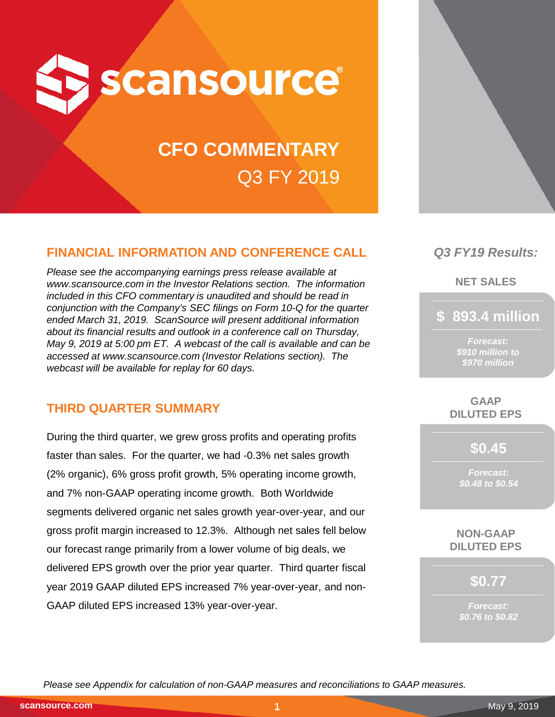

# **CFO COMMENTARY** Q3 FY 2019

# **FINANCIAL INFORMATION AND CONFERENCE CALL**

*Please see the accompanying earnings press release available at www.scansource.com in the Investor Relations section. The information included in this CFO commentary is unaudited and should be read in conjunction with the Company's SEC filings on Form 10-Q for the quarter ended March 31, 2019. ScanSource will present additional information about its financial results and outlook in a conference call on Thursday, May 9, 2019 at 5:00 pm ET. A webcast of the call is available and can be accessed at www.scansource.com (Investor Relations section). The webcast will be available for replay for 60 days.*

# **THIRD QUARTER SUMMARY**

During the third quarter, we grew gross profits and operating profits faster than sales. For the quarter, we had -0.3% net sales growth (2% organic), 6% gross profit growth, 5% operating income growth, and 7% non-GAAP operating income growth. Both Worldwide segments delivered organic net sales growth year-over-year, and our gross profit margin increased to 12.3%. Although net sales fell below our forecast range primarily from a lower volume of big deals, we delivered EPS growth over the prior year quarter. Third quarter fiscal year 2019 GAAP diluted EPS increased 7% year-over-year, and non-GAAP diluted EPS increased 13% year-over-year.



# *Q3 FY19 Results:*

**NET SALES**

**\$ 893.4 million**

*Forecast: \$910 million to \$970 million*

**GAAP DILUTED EPS**

**\$0.45**

*Forecast: \$0.48 to \$0.54*

**NON-GAAP DILUTED EPS**

**\$0.77**

*Forecast: \$0.76 to \$0.82*

*Please see Appendix for calculation of non-GAAP measures and reconciliations to GAAP measures.*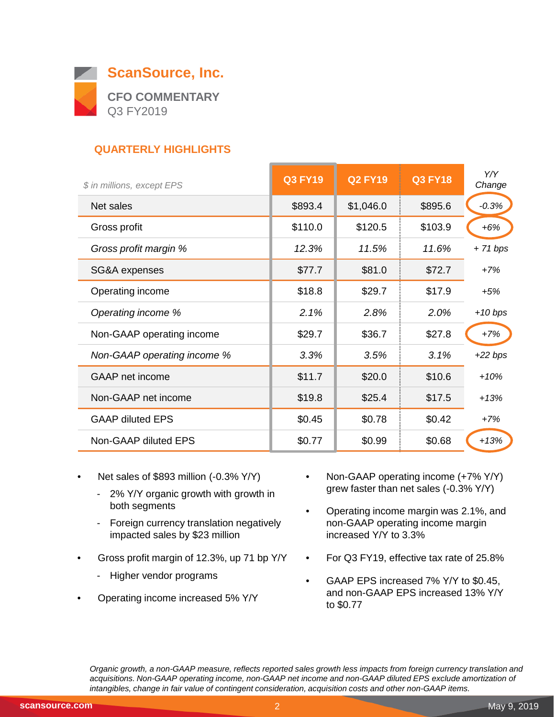

# **QUARTERLY HIGHLIGHTS**

| \$ in millions, except EPS  | <b>Q3 FY19</b> | <b>Q2 FY19</b> | <b>Q3 FY18</b> | Y/Y<br>Change |
|-----------------------------|----------------|----------------|----------------|---------------|
| Net sales                   | \$893.4        | \$1,046.0      | \$895.6        | $-0.3%$       |
| Gross profit                | \$110.0        | \$120.5        | \$103.9        | $+6%$         |
| Gross profit margin %       | 12.3%          | 11.5%          | 11.6%          | $+71 bps$     |
| SG&A expenses               | \$77.7         | \$81.0         | \$72.7         | $+7%$         |
| Operating income            | \$18.8         | \$29.7         | \$17.9         | $+5%$         |
| Operating income %          | 2.1%           | 2.8%           | 2.0%           | $+10 bps$     |
| Non-GAAP operating income   | \$29.7         | \$36.7         | \$27.8         | $+7%$         |
| Non-GAAP operating income % | 3.3%           | 3.5%           | 3.1%           | $+22 bps$     |
| <b>GAAP</b> net income      | \$11.7         | \$20.0         | \$10.6         | $+10%$        |
| Non-GAAP net income         | \$19.8         | \$25.4         | \$17.5         | $+13%$        |
| <b>GAAP diluted EPS</b>     | \$0.45         | \$0.78         | \$0.42         | $+7%$         |
| Non-GAAP diluted EPS        | \$0.77         | \$0.99         | \$0.68         | $+13%$        |
|                             |                |                |                |               |

- Net sales of \$893 million (-0.3% Y/Y)
	- 2% Y/Y organic growth with growth in both segments
	- Foreign currency translation negatively impacted sales by \$23 million
- Gross profit margin of 12.3%, up 71 bp Y/Y
	- Higher vendor programs
- Operating income increased 5% Y/Y
- Non-GAAP operating income (+7% Y/Y) grew faster than net sales (-0.3% Y/Y)
- Operating income margin was 2.1%, and non-GAAP operating income margin increased Y/Y to 3.3%
- For Q3 FY19, effective tax rate of 25.8%
- GAAP EPS increased 7% Y/Y to \$0.45, and non-GAAP EPS increased 13% Y/Y to \$0.77

*Organic growth, a non-GAAP measure, reflects reported sales growth less impacts from foreign currency translation and acquisitions. Non-GAAP operating income, non-GAAP net income and non-GAAP diluted EPS exclude amortization of intangibles, change in fair value of contingent consideration, acquisition costs and other non-GAAP items.*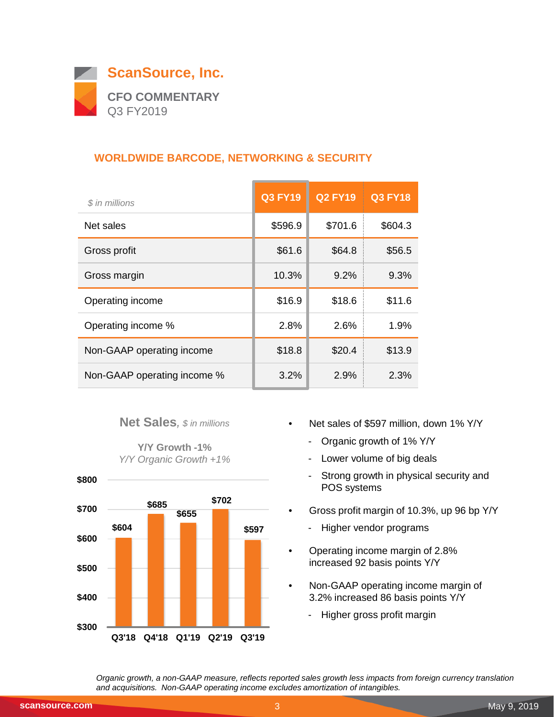

# **WORLDWIDE BARCODE, NETWORKING & SECURITY**

| \$ in millions              | <b>Q3 FY19</b> | <b>Q2 FY19</b> | Q3 FY18 |
|-----------------------------|----------------|----------------|---------|
| Net sales                   | \$596.9        | \$701.6        | \$604.3 |
| Gross profit                | \$61.6         | \$64.8         | \$56.5  |
| Gross margin                | 10.3%          | 9.2%           | 9.3%    |
| Operating income            | \$16.9         | \$18.6         | \$11.6  |
| Operating income %          | 2.8%           | 2.6%           | $1.9\%$ |
| Non-GAAP operating income   | \$18.8         | \$20.4         | \$13.9  |
| Non-GAAP operating income % | 3.2%           | 2.9%           | 2.3%    |

## **Net Sales***, \$ in millions*

**Y/Y Growth -1%** *Y/Y Organic Growth +1%*



- Net sales of \$597 million, down 1% Y/Y
	- Organic growth of 1% Y/Y
	- Lower volume of big deals
	- Strong growth in physical security and POS systems
- Gross profit margin of 10.3%, up 96 bp Y/Y
	- Higher vendor programs
- Operating income margin of 2.8% increased 92 basis points Y/Y
- Non-GAAP operating income margin of 3.2% increased 86 basis points Y/Y
	- Higher gross profit margin

*Organic growth, a non-GAAP measure, reflects reported sales growth less impacts from foreign currency translation and acquisitions. Non-GAAP operating income excludes amortization of intangibles.*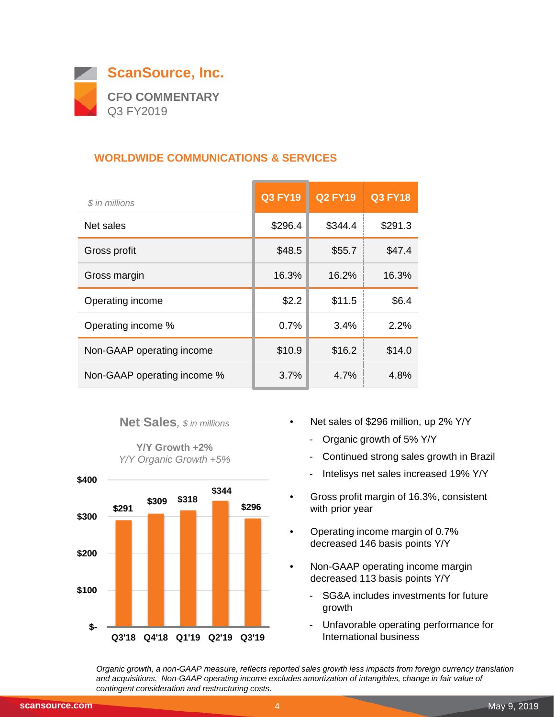

## **WORLDWIDE COMMUNICATIONS & SERVICES**

| \$ in millions              | <b>Q3 FY19</b> | <b>Q2 FY19</b> | <b>Q3 FY18</b> |
|-----------------------------|----------------|----------------|----------------|
| Net sales                   | \$296.4        | \$344.4        | \$291.3        |
| Gross profit                | \$48.5         | \$55.7         | \$47.4         |
| Gross margin                | 16.3%          | 16.2%          | 16.3%          |
| Operating income            | \$2.2          | \$11.5         | \$6.4          |
| Operating income %          | 0.7%           | 3.4%           | 2.2%           |
| Non-GAAP operating income   | \$10.9         | \$16.2         | \$14.0         |
| Non-GAAP operating income % | 3.7%           | 4.7%           | 4.8%           |

#### **Net Sales***, \$ in millions*

**Y/Y Growth +2%** *Y/Y Organic Growth +5%*



- Net sales of \$296 million, up 2% Y/Y
	- Organic growth of 5% Y/Y
	- Continued strong sales growth in Brazil
	- Intelisys net sales increased 19% Y/Y
- Gross profit margin of 16.3%, consistent with prior year
- Operating income margin of 0.7% decreased 146 basis points Y/Y
- Non-GAAP operating income margin decreased 113 basis points Y/Y
	- SG&A includes investments for future growth
	- Unfavorable operating performance for International business

*Organic growth, a non-GAAP measure, reflects reported sales growth less impacts from foreign currency translation and acquisitions. Non-GAAP operating income excludes amortization of intangibles, change in fair value of contingent consideration and restructuring costs.*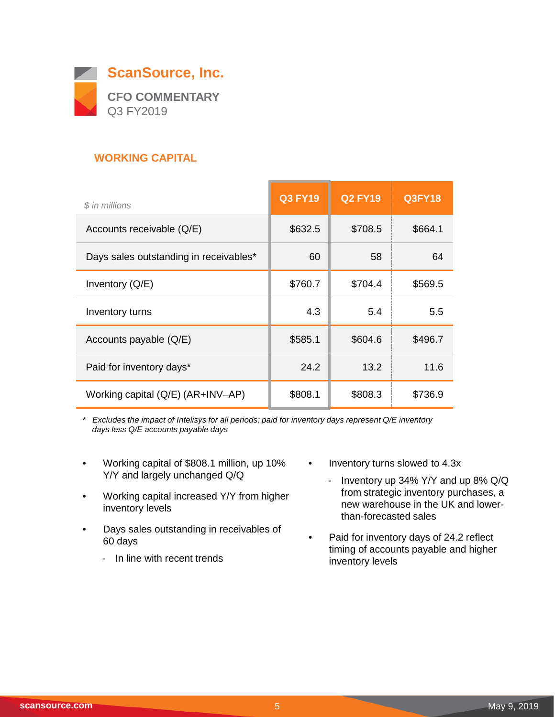

## **WORKING CAPITAL**

| \$ in millions                         | <b>Q3 FY19</b> | <b>Q2 FY19</b> | <b>Q3FY18</b> |
|----------------------------------------|----------------|----------------|---------------|
| Accounts receivable (Q/E)              | \$632.5        | \$708.5        | \$664.1       |
| Days sales outstanding in receivables* | 60             | 58             | 64            |
| Inventory $(Q/E)$                      | \$760.7        | \$704.4        | \$569.5       |
| Inventory turns                        | 4.3            | 5.4            | 5.5           |
| Accounts payable (Q/E)                 | \$585.1        | \$604.6        | \$496.7       |
| Paid for inventory days*               | 24.2           | 13.2           | 11.6          |
| Working capital (Q/E) (AR+INV-AP)      | \$808.1        | \$808.3        | \$736.9       |

*\* Excludes the impact of Intelisys for all periods; paid for inventory days represent Q/E inventory days less Q/E accounts payable days*

- Working capital of \$808.1 million, up 10% Y/Y and largely unchanged Q/Q
- Working capital increased Y/Y from higher inventory levels
- Days sales outstanding in receivables of 60 days
	- In line with recent trends

• Inventory turns slowed to 4.3x

 $\overline{\phantom{0}}$ 

- Inventory up 34% Y/Y and up 8% Q/Q from strategic inventory purchases, a new warehouse in the UK and lowerthan-forecasted sales
- Paid for inventory days of 24.2 reflect timing of accounts payable and higher inventory levels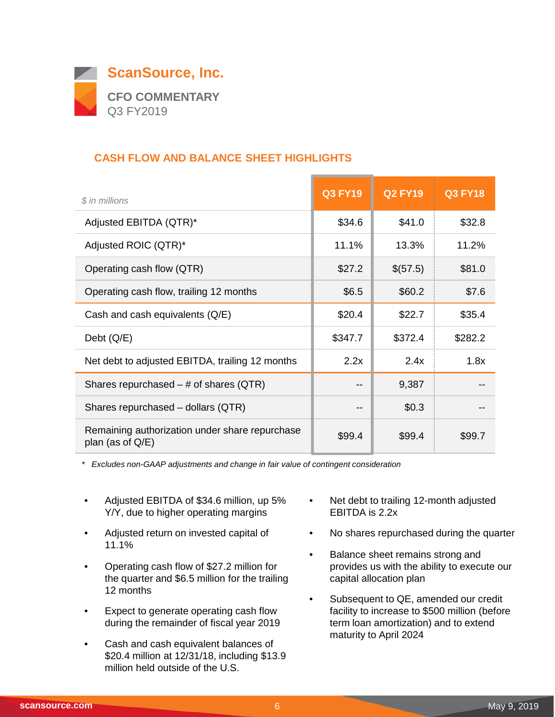

## **CASH FLOW AND BALANCE SHEET HIGHLIGHTS**

| \$ in millions                                                        | <b>Q3 FY19</b> | <b>Q2 FY19</b> | <b>Q3 FY18</b> |
|-----------------------------------------------------------------------|----------------|----------------|----------------|
| Adjusted EBITDA (QTR)*                                                | \$34.6         | \$41.0         | \$32.8         |
| Adjusted ROIC (QTR)*                                                  | 11.1%          | 13.3%          | 11.2%          |
| Operating cash flow (QTR)                                             | \$27.2         | \$(57.5)       | \$81.0         |
| Operating cash flow, trailing 12 months                               | \$6.5          | \$60.2         | \$7.6          |
| Cash and cash equivalents (Q/E)                                       | \$20.4         | \$22.7         | \$35.4         |
| Debt $(Q/E)$                                                          | \$347.7        | \$372.4        | \$282.2        |
| Net debt to adjusted EBITDA, trailing 12 months                       | 2.2x           | 2.4x           | 1.8x           |
| Shares repurchased $-$ # of shares (QTR)                              | --             | 9,387          |                |
| Shares repurchased - dollars (QTR)                                    |                | \$0.3          |                |
| Remaining authorization under share repurchase<br>plan (as of $Q/E$ ) | \$99.4         | \$99.4         | \$99.7         |

*\* Excludes non-GAAP adjustments and change in fair value of contingent consideration*

- Adjusted EBITDA of \$34.6 million, up 5% Y/Y, due to higher operating margins
- Adjusted return on invested capital of 11.1%
- Operating cash flow of \$27.2 million for the quarter and \$6.5 million for the trailing 12 months
- Expect to generate operating cash flow during the remainder of fiscal year 2019
- Cash and cash equivalent balances of \$20.4 million at 12/31/18, including \$13.9 million held outside of the U.S.
- Net debt to trailing 12-month adjusted EBITDA is 2.2x
- No shares repurchased during the quarter
- Balance sheet remains strong and provides us with the ability to execute our capital allocation plan
- Subsequent to QE, amended our credit facility to increase to \$500 million (before term loan amortization) and to extend maturity to April 2024

 $\overline{\phantom{0}}$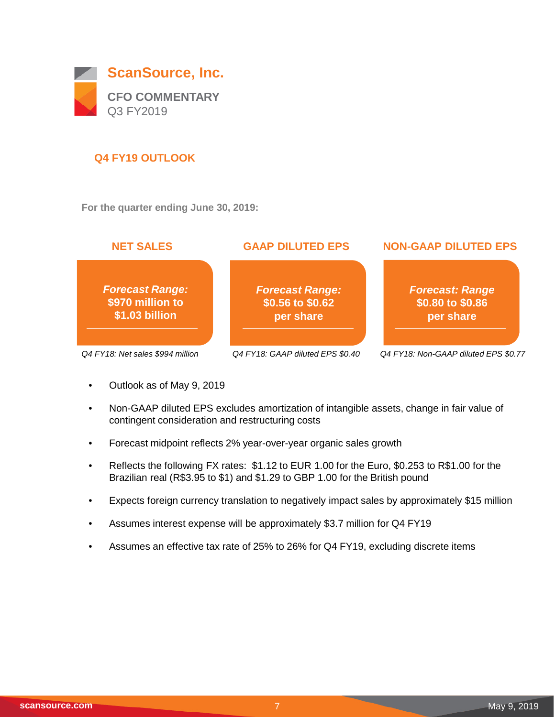

## **Q4 FY19 OUTLOOK**

**For the quarter ending June 30, 2019:**



- Outlook as of May 9, 2019
- Non-GAAP diluted EPS excludes amortization of intangible assets, change in fair value of contingent consideration and restructuring costs
- Forecast midpoint reflects 2% year-over-year organic sales growth
- Reflects the following FX rates: \$1.12 to EUR 1.00 for the Euro, \$0.253 to R\$1.00 for the Brazilian real (R\$3.95 to \$1) and \$1.29 to GBP 1.00 for the British pound
- Expects foreign currency translation to negatively impact sales by approximately \$15 million
- Assumes interest expense will be approximately \$3.7 million for Q4 FY19
- Assumes an effective tax rate of 25% to 26% for Q4 FY19, excluding discrete items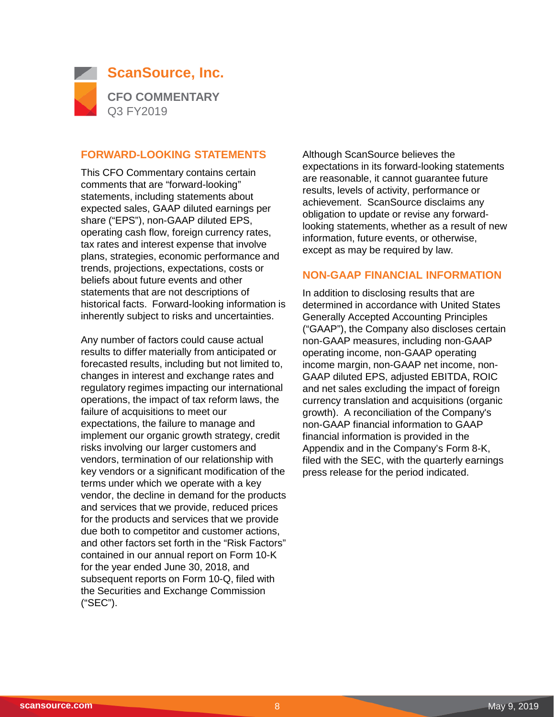

#### **FORWARD-LOOKING STATEMENTS**

This CFO Commentary contains certain comments that are "forward-looking" statements, including statements about expected sales, GAAP diluted earnings per share ("EPS"), non-GAAP diluted EPS, operating cash flow, foreign currency rates, tax rates and interest expense that involve plans, strategies, economic performance and trends, projections, expectations, costs or beliefs about future events and other statements that are not descriptions of historical facts. Forward-looking information is inherently subject to risks and uncertainties.

Any number of factors could cause actual results to differ materially from anticipated or forecasted results, including but not limited to, changes in interest and exchange rates and regulatory regimes impacting our international operations, the impact of tax reform laws, the failure of acquisitions to meet our expectations, the failure to manage and implement our organic growth strategy, credit risks involving our larger customers and vendors, termination of our relationship with key vendors or a significant modification of the terms under which we operate with a key vendor, the decline in demand for the products and services that we provide, reduced prices for the products and services that we provide due both to competitor and customer actions, and other factors set forth in the "Risk Factors" contained in our annual report on Form 10-K for the year ended June 30, 2018, and subsequent reports on Form 10-Q, filed with the Securities and Exchange Commission ("SEC").

Although ScanSource believes the expectations in its forward-looking statements are reasonable, it cannot guarantee future results, levels of activity, performance or achievement. ScanSource disclaims any obligation to update or revise any forwardlooking statements, whether as a result of new information, future events, or otherwise, except as may be required by law.

#### **NON-GAAP FINANCIAL INFORMATION**

In addition to disclosing results that are determined in accordance with United States Generally Accepted Accounting Principles ("GAAP"), the Company also discloses certain non-GAAP measures, including non-GAAP operating income, non-GAAP operating income margin, non-GAAP net income, non-GAAP diluted EPS, adjusted EBITDA, ROIC and net sales excluding the impact of foreign currency translation and acquisitions (organic growth). A reconciliation of the Company's non-GAAP financial information to GAAP financial information is provided in the Appendix and in the Company's Form 8-K, filed with the SEC, with the quarterly earnings press release for the period indicated.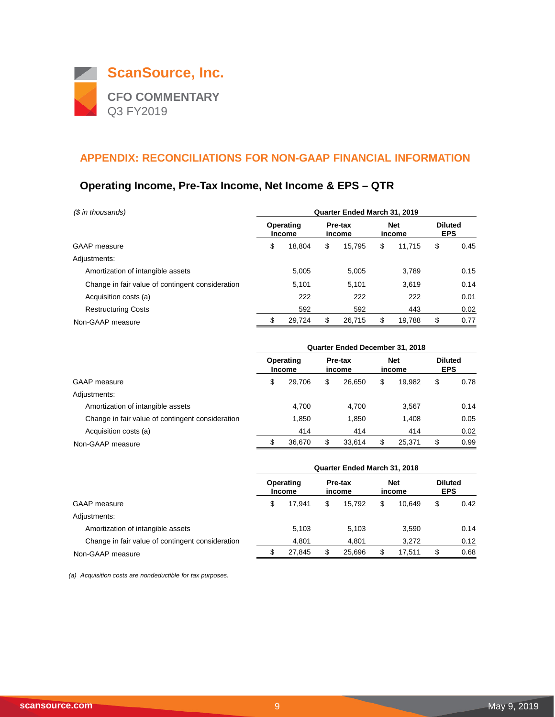

# **Operating Income, Pre-Tax Income, Net Income & EPS – QTR**

| (\$ in thousands)                                | Quarter Ended March 31, 2019 |                            |    |                   |    |                      |    |                              |  |  |
|--------------------------------------------------|------------------------------|----------------------------|----|-------------------|----|----------------------|----|------------------------------|--|--|
|                                                  |                              | Operating<br><b>Income</b> |    | Pre-tax<br>income |    | <b>Net</b><br>income |    | <b>Diluted</b><br><b>EPS</b> |  |  |
| GAAP measure                                     | \$                           | 18.804                     | \$ | 15.795            | \$ | 11.715               | \$ | 0.45                         |  |  |
| Adjustments:                                     |                              |                            |    |                   |    |                      |    |                              |  |  |
| Amortization of intangible assets                |                              | 5.005                      |    | 5.005             |    | 3,789                |    | 0.15                         |  |  |
| Change in fair value of contingent consideration |                              | 5,101                      |    | 5.101             |    | 3,619                |    | 0.14                         |  |  |
| Acquisition costs (a)                            |                              | 222                        |    | 222               |    | 222                  |    | 0.01                         |  |  |
| <b>Restructuring Costs</b>                       |                              | 592                        |    | 592               |    | 443                  |    | 0.02                         |  |  |
| Non-GAAP measure                                 | \$                           | 29,724                     | \$ | 26,715            | \$ | 19,788               | S  | 0.77                         |  |  |

|                                                  | Quarter Ended December 31, 2018 |                            |                   |        |                      |        |                              |      |  |  |
|--------------------------------------------------|---------------------------------|----------------------------|-------------------|--------|----------------------|--------|------------------------------|------|--|--|
|                                                  |                                 | Operating<br><b>Income</b> | Pre-tax<br>income |        | <b>Net</b><br>income |        | <b>Diluted</b><br><b>EPS</b> |      |  |  |
| <b>GAAP</b> measure                              | \$                              | 29.706                     | S                 | 26.650 | \$                   | 19.982 | \$                           | 0.78 |  |  |
| Adjustments:                                     |                                 |                            |                   |        |                      |        |                              |      |  |  |
| Amortization of intangible assets                |                                 | 4.700                      |                   | 4.700  |                      | 3,567  |                              | 0.14 |  |  |
| Change in fair value of contingent consideration |                                 | 1.850                      |                   | 1.850  |                      | 1.408  |                              | 0.05 |  |  |
| Acquisition costs (a)                            |                                 | 414                        |                   | 414    |                      | 414    |                              | 0.02 |  |  |
| Non-GAAP measure                                 | S                               | 36.670                     | S                 | 33.614 |                      | 25.371 | \$                           | 0.99 |  |  |

|                                                  | Quarter Ended March 31, 2018 |                            |    |                   |    |                      |                              |      |  |  |
|--------------------------------------------------|------------------------------|----------------------------|----|-------------------|----|----------------------|------------------------------|------|--|--|
|                                                  |                              | Operating<br><b>Income</b> |    | Pre-tax<br>income |    | <b>Net</b><br>income | <b>Diluted</b><br><b>EPS</b> |      |  |  |
| GAAP measure                                     | \$                           | 17.941                     | \$ | 15.792            | \$ | 10.649               | \$                           | 0.42 |  |  |
| Adjustments:                                     |                              |                            |    |                   |    |                      |                              |      |  |  |
| Amortization of intangible assets                |                              | 5.103                      |    | 5.103             |    | 3.590                |                              | 0.14 |  |  |
| Change in fair value of contingent consideration |                              | 4.801                      |    | 4.801             |    | 3.272                |                              | 0.12 |  |  |
| Non-GAAP measure                                 |                              | 27.845                     |    | 25.696            |    | 17.511               | S                            | 0.68 |  |  |

*(a) Acquisition costs are nondeductible for tax purposes.*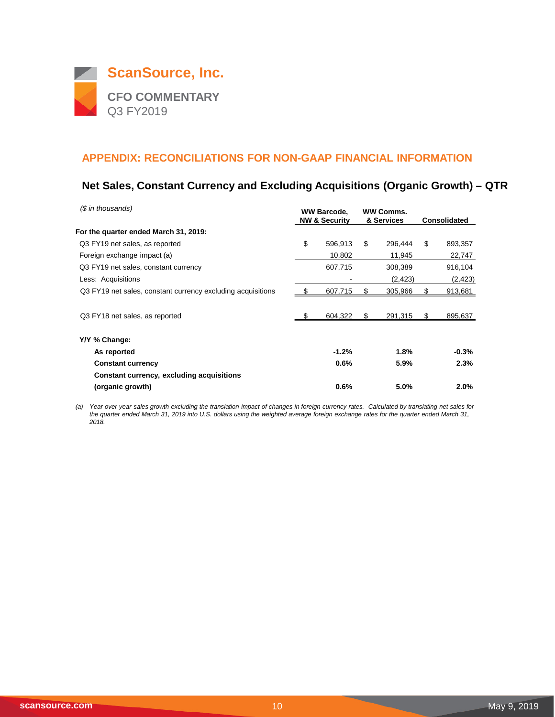

## **Net Sales, Constant Currency and Excluding Acquisitions (Organic Growth) – QTR**

| (\$ in thousands)                                           | <b>WW Barcode,</b><br><b>NW &amp; Security</b> |         |    | <b>WW Comms.</b><br>& Services | <b>Consolidated</b> |          |
|-------------------------------------------------------------|------------------------------------------------|---------|----|--------------------------------|---------------------|----------|
| For the quarter ended March 31, 2019:                       |                                                |         |    |                                |                     |          |
| Q3 FY19 net sales, as reported                              | \$                                             | 596.913 | \$ | 296.444                        | \$                  | 893,357  |
| Foreign exchange impact (a)                                 |                                                | 10,802  |    | 11,945                         |                     | 22,747   |
| Q3 FY19 net sales, constant currency                        |                                                | 607,715 |    | 308,389                        |                     | 916,104  |
| Less: Acquisitions                                          |                                                |         |    | (2, 423)                       |                     | (2, 423) |
| Q3 FY19 net sales, constant currency excluding acquisitions |                                                | 607,715 | S  | 305,966                        |                     | 913,681  |
|                                                             |                                                |         |    |                                |                     |          |
| Q3 FY18 net sales, as reported                              |                                                | 604,322 | S  | 291,315                        |                     | 895,637  |
| Y/Y % Change:                                               |                                                |         |    |                                |                     |          |
| As reported                                                 |                                                | $-1.2%$ |    | 1.8%                           |                     | $-0.3%$  |
| <b>Constant currency</b>                                    |                                                | 0.6%    |    | 5.9%                           |                     | 2.3%     |
| Constant currency, excluding acquisitions                   |                                                |         |    |                                |                     |          |
| (organic growth)                                            |                                                | 0.6%    |    | 5.0%                           |                     | 2.0%     |

*(a) Year-over-year sales growth excluding the translation impact of changes in foreign currency rates. Calculated by translating net sales for the quarter ended March 31, 2019 into U.S. dollars using the weighted average foreign exchange rates for the quarter ended March 31, 2018.*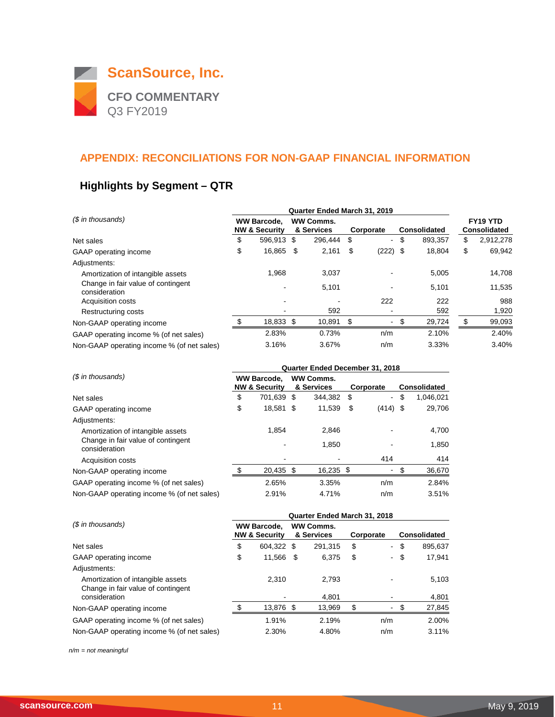

# **Highlights by Segment – QTR**

|                                                     |                                                | Quarter Ended March 31, 2019 |                                |         |           |                |                     |         |                                 |           |
|-----------------------------------------------------|------------------------------------------------|------------------------------|--------------------------------|---------|-----------|----------------|---------------------|---------|---------------------------------|-----------|
| (\$ in thousands)                                   | <b>WW Barcode.</b><br><b>NW &amp; Security</b> |                              | <b>WW Comms.</b><br>& Services |         | Corporate |                | <b>Consolidated</b> |         | FY19 YTD<br><b>Consolidated</b> |           |
| Net sales                                           | \$                                             | 596.913                      | -\$                            | 296.444 | S         | $\blacksquare$ | \$                  | 893,357 | \$                              | 2,912,278 |
| GAAP operating income                               | \$                                             | 16,865                       | \$                             | 2,161   | \$        | $(222)$ \$     |                     | 18,804  | \$                              | 69,942    |
| Adjustments:                                        |                                                |                              |                                |         |           |                |                     |         |                                 |           |
| Amortization of intangible assets                   |                                                | 1.968                        |                                | 3,037   |           |                |                     | 5,005   |                                 | 14,708    |
| Change in fair value of contingent<br>consideration |                                                |                              |                                | 5,101   |           |                |                     | 5,101   |                                 | 11,535    |
| Acquisition costs                                   |                                                |                              |                                |         |           | 222            |                     | 222     |                                 | 988       |
| Restructuring costs                                 |                                                |                              |                                | 592     |           |                |                     | 592     |                                 | 1,920     |
| Non-GAAP operating income                           |                                                | 18,833 \$                    |                                | 10,891  | \$        | ٠              | \$                  | 29,724  | \$                              | 99,093    |
| GAAP operating income % (of net sales)              |                                                | 2.83%                        |                                | 0.73%   |           | n/m            |                     | 2.10%   |                                 | 2.40%     |
| Non-GAAP operating income % (of net sales)          |                                                | 3.16%                        |                                | 3.67%   |           | n/m            |                     | 3.33%   |                                 | 3.40%     |

|                                                     | Quarter Ended December 31, 2018 |                          |  |                  |   |                              |    |                     |  |  |
|-----------------------------------------------------|---------------------------------|--------------------------|--|------------------|---|------------------------------|----|---------------------|--|--|
| (\$ in thousands)                                   |                                 | <b>WW Barcode.</b>       |  | <b>WW Comms.</b> |   |                              |    |                     |  |  |
|                                                     |                                 | <b>NW &amp; Security</b> |  | & Services       |   | Corporate                    |    | <b>Consolidated</b> |  |  |
| Net sales                                           | \$                              | 701.639 \$               |  | 344.382 \$       |   | $\blacksquare$               | \$ | 1,046,021           |  |  |
| GAAP operating income                               | \$                              | 18,581 \$                |  | 11,539           | S | $(414)$ \$                   |    | 29,706              |  |  |
| Adjustments:                                        |                                 |                          |  |                  |   |                              |    |                     |  |  |
| Amortization of intangible assets                   |                                 | 1.854                    |  | 2.846            |   |                              |    | 4,700               |  |  |
| Change in fair value of contingent<br>consideration |                                 |                          |  | 1.850            |   |                              |    | 1,850               |  |  |
| <b>Acquisition costs</b>                            |                                 |                          |  |                  |   | 414                          |    | 414                 |  |  |
| Non-GAAP operating income                           |                                 | 20,435 \$                |  | 16,235 \$        |   | $\qquad \qquad \blacksquare$ | S  | 36,670              |  |  |
| GAAP operating income % (of net sales)              |                                 | 2.65%                    |  | 3.35%            |   | n/m                          |    | 2.84%               |  |  |
| Non-GAAP operating income % (of net sales)          |                                 | 2.91%                    |  | 4.71%            |   | n/m                          |    | 3.51%               |  |  |

|                                                                         | Quarter Ended March 31, 2018 |                                                |      |                                |           |                |                     |         |  |  |
|-------------------------------------------------------------------------|------------------------------|------------------------------------------------|------|--------------------------------|-----------|----------------|---------------------|---------|--|--|
| (\$ in thousands)                                                       |                              | <b>WW Barcode,</b><br><b>NW &amp; Security</b> |      | <b>WW Comms.</b><br>& Services | Corporate |                | <b>Consolidated</b> |         |  |  |
| Net sales                                                               | \$                           | 604,322 \$                                     |      | 291.315                        | S         | $\sim$         | \$                  | 895,637 |  |  |
| GAAP operating income                                                   | \$                           | 11.566                                         | - \$ | 6.375                          | S         | $\blacksquare$ | \$                  | 17.941  |  |  |
| Adjustments:                                                            |                              |                                                |      |                                |           |                |                     |         |  |  |
| Amortization of intangible assets<br>Change in fair value of contingent |                              | 2.310                                          |      | 2.793                          |           |                |                     | 5,103   |  |  |
| consideration                                                           |                              |                                                |      | 4.801                          |           |                |                     | 4,801   |  |  |
| Non-GAAP operating income                                               |                              | 13.876 \$                                      |      | 13.969                         | \$        | ٠              | \$                  | 27,845  |  |  |
| GAAP operating income % (of net sales)                                  |                              | 1.91%                                          |      | 2.19%                          |           | n/m            |                     | 2.00%   |  |  |
| Non-GAAP operating income % (of net sales)                              |                              | 2.30%                                          |      | 4.80%                          |           | n/m            |                     | 3.11%   |  |  |

*n/m = not meaningful*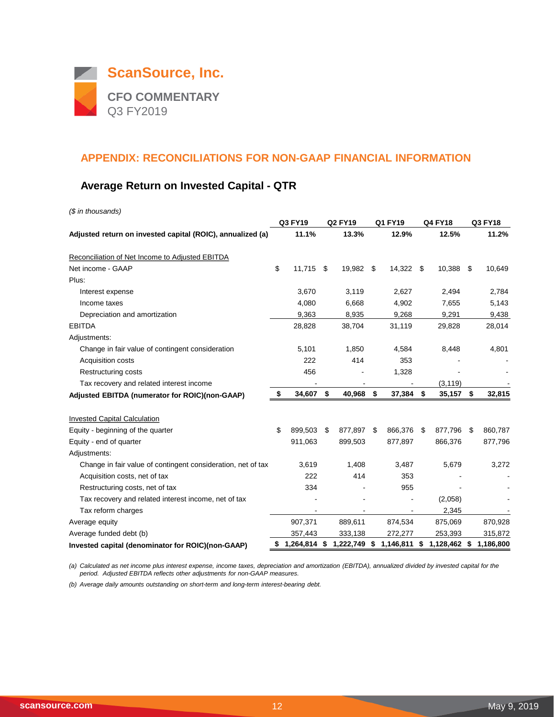

## **Average Return on Invested Capital - QTR**

*(\$ in thousands)*

|                                                              | Q3 FY19                                |     | <b>Q2 FY19</b> |    | Q1 FY19                  | <b>Q4 FY18</b>     | Q3 FY18 |           |  |
|--------------------------------------------------------------|----------------------------------------|-----|----------------|----|--------------------------|--------------------|---------|-----------|--|
| Adjusted return on invested capital (ROIC), annualized (a)   | 11.1%                                  |     | 13.3%          |    | 12.9%                    | 12.5%              |         | 11.2%     |  |
| Reconciliation of Net Income to Adjusted EBITDA              |                                        |     |                |    |                          |                    |         |           |  |
| Net income - GAAP                                            | \$<br>11,715                           | \$  | 19,982         | \$ | 14,322 \$                | 10,388             | \$      | 10,649    |  |
| Plus:                                                        |                                        |     |                |    |                          |                    |         |           |  |
| Interest expense                                             | 3,670                                  |     | 3,119          |    | 2,627                    | 2,494              |         | 2,784     |  |
| Income taxes                                                 | 4,080                                  |     | 6,668          |    | 4,902                    | 7,655              |         | 5,143     |  |
| Depreciation and amortization                                | 9,363                                  |     | 8,935          |    | 9,268                    | 9,291              |         | 9,438     |  |
| <b>EBITDA</b>                                                | 28,828                                 |     | 38,704         |    | 31,119                   | 29,828             |         | 28,014    |  |
| Adjustments:                                                 |                                        |     |                |    |                          |                    |         |           |  |
| Change in fair value of contingent consideration             | 5,101                                  |     | 1,850          |    | 4,584                    | 8,448              |         | 4,801     |  |
| Acquisition costs                                            | 222                                    |     | 414            |    | 353                      |                    |         |           |  |
| <b>Restructuring costs</b>                                   | 456                                    |     |                |    | 1,328                    |                    |         |           |  |
| Tax recovery and related interest income                     |                                        |     |                |    |                          | (3, 119)           |         |           |  |
| Adjusted EBITDA (numerator for ROIC)(non-GAAP)               | \$<br>34,607 \$                        |     | 40,968 \$      |    | 37,384 \$                | 35,157             | \$      | 32,815    |  |
|                                                              |                                        |     |                |    |                          |                    |         |           |  |
| <b>Invested Capital Calculation</b>                          |                                        |     |                |    |                          |                    |         |           |  |
| Equity - beginning of the quarter                            | \$<br>899,503                          | -\$ | 877,897        | \$ | 866,376                  | \$<br>877,796      | - \$    | 860,787   |  |
| Equity - end of quarter                                      | 911,063                                |     | 899,503        |    | 877,897                  | 866,376            |         | 877,796   |  |
| Adjustments:                                                 |                                        |     |                |    |                          |                    |         |           |  |
| Change in fair value of contingent consideration, net of tax | 3,619                                  |     | 1,408          |    | 3,487                    | 5,679              |         | 3,272     |  |
| Acquisition costs, net of tax                                | 222                                    |     | 414            |    | 353                      |                    |         |           |  |
| Restructuring costs, net of tax                              | 334                                    |     |                |    | 955                      |                    |         |           |  |
| Tax recovery and related interest income, net of tax         |                                        |     |                |    |                          | (2,058)            |         |           |  |
| Tax reform charges                                           |                                        |     |                |    | $\overline{\phantom{a}}$ | 2,345              |         |           |  |
| Average equity                                               | 907,371                                |     | 889,611        |    | 874,534                  | 875,069            |         | 870,928   |  |
| Average funded debt (b)                                      | 357,443                                |     | 333,138        |    | 272,277                  | 253,393            |         | 315,872   |  |
| Invested capital (denominator for ROIC)(non-GAAP)            | \$ 1,264,814 \$ 1,222,749 \$ 1,146,811 |     |                |    |                          | \$<br>1,128,462 \$ |         | 1,186,800 |  |

*(a) Calculated as net income plus interest expense, income taxes, depreciation and amortization (EBITDA), annualized divided by invested capital for the period. Adjusted EBITDA reflects other adjustments for non-GAAP measures.*

*(b) Average daily amounts outstanding on short-term and long-term interest-bearing debt.*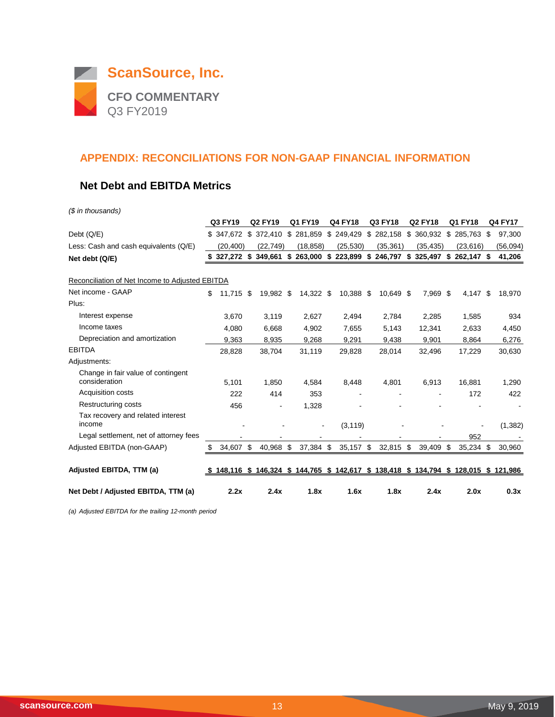

## **Net Debt and EBITDA Metrics**

*(\$ in thousands)*

|                                                     |    | Q3 FY19     | <b>Q2 FY19</b> | Q1 FY19          | <b>Q4 FY18</b> | Q3 FY18                                                                   | <b>Q2 FY18</b> | Q1 FY18          |     | <b>Q4 FY17</b> |
|-----------------------------------------------------|----|-------------|----------------|------------------|----------------|---------------------------------------------------------------------------|----------------|------------------|-----|----------------|
| Debt (Q/E)                                          |    | \$347.672   | \$372,410      | \$281,859        | \$249,429      | \$282,158                                                                 | \$360,932      | \$285,763        | -\$ | 97,300         |
| Less: Cash and cash equivalents (Q/E)               |    | (20.400)    | (22, 749)      | (18, 858)        | (25, 530)      | (35, 361)                                                                 | (35, 435)      | (23, 616)        |     | (56,094)       |
| Net debt (Q/E)                                      | S. | 327,272 \$  | 349,661        | \$<br>263,000 \$ | 223,899        | \$246,797 \$325,497                                                       |                | \$<br>262,147 \$ |     | 41,206         |
| Reconciliation of Net Income to Adjusted EBITDA     |    |             |                |                  |                |                                                                           |                |                  |     |                |
| Net income - GAAP                                   | \$ | $11,715$ \$ | 19,982 \$      | 14,322 \$        | 10,388 \$      | 10,649 \$                                                                 | 7,969 \$       | 4,147            | \$  | 18,970         |
| Plus:                                               |    |             |                |                  |                |                                                                           |                |                  |     |                |
| Interest expense                                    |    | 3,670       | 3,119          | 2,627            | 2,494          | 2,784                                                                     | 2,285          | 1,585            |     | 934            |
| Income taxes                                        |    | 4,080       | 6,668          | 4,902            | 7,655          | 5,143                                                                     | 12,341         | 2,633            |     | 4,450          |
| Depreciation and amortization                       |    | 9,363       | 8,935          | 9,268            | 9,291          | 9,438                                                                     | 9,901          | 8,864            |     | 6,276          |
| <b>EBITDA</b>                                       |    | 28,828      | 38,704         | 31,119           | 29,828         | 28,014                                                                    | 32,496         | 17,229           |     | 30,630         |
| Adjustments:                                        |    |             |                |                  |                |                                                                           |                |                  |     |                |
| Change in fair value of contingent<br>consideration |    | 5,101       | 1,850          | 4,584            | 8,448          | 4,801                                                                     | 6,913          | 16,881           |     | 1,290          |
| Acquisition costs                                   |    | 222         | 414            | 353              |                |                                                                           |                | 172              |     | 422            |
| Restructuring costs                                 |    | 456         |                | 1,328            |                |                                                                           |                |                  |     |                |
| Tax recovery and related interest<br>income         |    |             |                |                  | (3, 119)       |                                                                           |                |                  |     | (1,382)        |
| Legal settlement, net of attorney fees              |    |             |                |                  |                |                                                                           |                | 952              |     |                |
| Adjusted EBITDA (non-GAAP)                          | \$ | 34.607 \$   | 40,968         | \$<br>37,384 \$  | 35,157 \$      | 32,815 \$                                                                 | 39,409         | \$<br>35,234 \$  |     | 30,960         |
| Adjusted EBITDA, TTM (a)                            |    | 148,116 \$  |                |                  |                | 146,324 \$ 144,765 \$ 142,617 \$ 138,418 \$ 134,794 \$ 128,015 \$ 121,986 |                |                  |     |                |
| Net Debt / Adjusted EBITDA, TTM (a)                 |    | 2.2x        | 2.4x           | 1.8x             | 1.6x           | 1.8x                                                                      | 2.4x           | 2.0x             |     | 0.3x           |

*(a) Adjusted EBITDA for the trailing 12-month period*